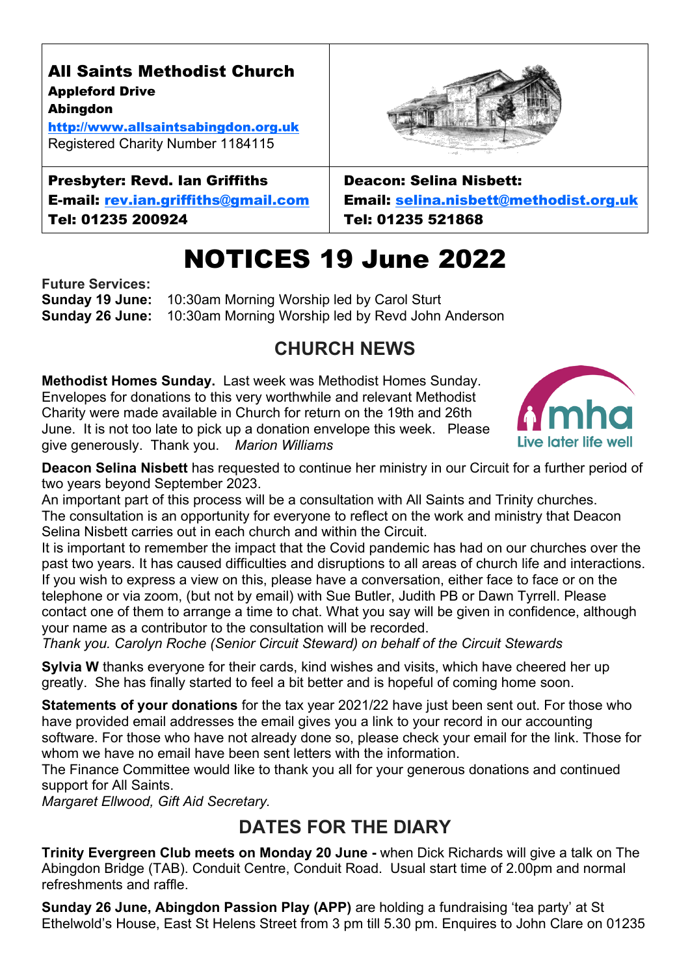All Saints Methodist Church Appleford Drive Abingdon

[http://www.allsaintsabingdon.org.uk](http://www.allsaintsabingdon.org.uk/) Registered Charity Number 1184115

#### Presbyter: Revd. Ian Griffiths E-mail: [rev.ian.griffiths@gmail.com](mailto:rev.ian.griffiths@gmail.com)

Tel: 01235 200924

Deacon: Selina Nisbett: Email: [selina.nisbett@methodist.org.uk](mailto:selina.nisbett@methodist.org.uk) Tel: 01235 521868

# NOTICES 19 June 2022

**Future Services: Sunday 19 June:** 10:30am Morning Worship led by Carol Sturt **Sunday 26 June:** 10:30am Morning Worship led by Revd John Anderson

# **CHURCH NEWS**

**Methodist Homes Sunday.** Last week was Methodist Homes Sunday. Envelopes for donations to this very worthwhile and relevant Methodist Charity were made available in Church for return on the 19th and 26th June. It is not too late to pick up a donation envelope this week. Please give generously. Thank you. *Marion Williams*

Live later life well

**Deacon Selina Nisbett** has requested to continue her ministry in our Circuit for a further period of two years beyond September 2023.

An important part of this process will be a consultation with All Saints and Trinity churches. The consultation is an opportunity for everyone to reflect on the work and ministry that Deacon Selina Nisbett carries out in each church and within the Circuit.

It is important to remember the impact that the Covid pandemic has had on our churches over the past two years. It has caused difficulties and disruptions to all areas of church life and interactions. If you wish to express a view on this, please have a conversation, either face to face or on the telephone or via zoom, (but not by email) with Sue Butler, Judith PB or Dawn Tyrrell. Please contact one of them to arrange a time to chat. What you say will be given in confidence, although your name as a contributor to the consultation will be recorded.

*Thank you. Carolyn Roche (Senior Circuit Steward) on behalf of the Circuit Stewards*

**Sylvia W** thanks everyone for their cards, kind wishes and visits, which have cheered her up greatly. She has finally started to feel a bit better and is hopeful of coming home soon.

**Statements of your donations** for the tax year 2021/22 have just been sent out. For those who have provided email addresses the email gives you a link to your record in our accounting software. For those who have not already done so, please check your email for the link. Those for whom we have no email have been sent letters with the information.

The Finance Committee would like to thank you all for your generous donations and continued support for All Saints.

*Margaret Ellwood, Gift Aid Secretary.*

## **DATES FOR THE DIARY**

**Trinity Evergreen Club meets on Monday 20 June -** when Dick Richards will give a talk on The Abingdon Bridge (TAB). Conduit Centre, Conduit Road. Usual start time of 2.00pm and normal refreshments and raffle.

**Sunday 26 June, Abingdon Passion Play (APP)** are holding a fundraising 'tea party' at St Ethelwold's House, East St Helens Street from 3 pm till 5.30 pm. Enquires to John Clare on 01235



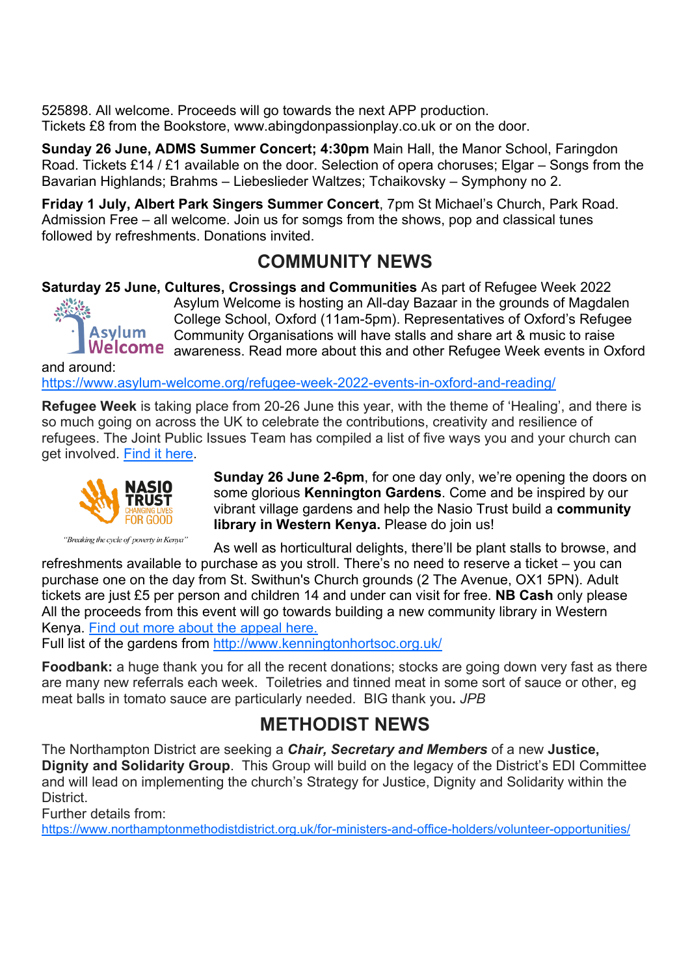525898. All welcome. Proceeds will go towards the next APP production. Tickets £8 from the Bookstore, www.abingdonpassionplay.co.uk or on the door.

**Sunday 26 June, ADMS Summer Concert; 4:30pm** Main Hall, the Manor School, Faringdon Road. Tickets £14 / £1 available on the door. Selection of opera choruses; Elgar – Songs from the Bavarian Highlands; Brahms – Liebeslieder Waltzes; Tchaikovsky – Symphony no 2.

**Friday 1 July, Albert Park Singers Summer Concert**, 7pm St Michael's Church, Park Road. Admission Free – all welcome. Join us for somgs from the shows, pop and classical tunes followed by refreshments. Donations invited.

#### **COMMUNITY NEWS**

**Saturday 25 June, Cultures, Crossings and Communities** As part of Refugee Week 2022



Asylum Welcome is hosting an All-day Bazaar in the grounds of Magdalen College School, Oxford (11am-5pm). Representatives of Oxford's Refugee Community Organisations will have stalls and share art & music to raise Welcome awareness. Read more about this and other Refugee Week events in Oxford

and around: <https://www.asylum-welcome.org/refugee-week-2022-events-in-oxford-and-reading/>

**Refugee Week** is taking place from 20-26 June this year, with the theme of 'Healing', and there is so much going on across the UK to celebrate the contributions, creativity and resilience of refugees. The Joint Public Issues Team has compiled a list of five ways you and your church can get involved. [Find it here.](https://www.jointpublicissues.org.uk/refugeeweek/)



"Breaking the cycle of poverty in Kenya"

**Sunday 26 June 2-6pm**, for one day only, we're opening the doors on some glorious **Kennington Gardens**. Come and be inspired by our vibrant village gardens and help the Nasio Trust build a **community library in Western Kenya.** Please do join us!

As well as horticultural delights, there'll be plant stalls to browse, and refreshments available to purchase as you stroll. There's no need to reserve a ticket – you can

purchase one on the day from St. Swithun's Church grounds (2 The Avenue, OX1 5PN). Adult tickets are just £5 per person and children 14 and under can visit for free. **NB Cash** only please All the proceeds from this event will go towards building a new community library in Western Kenya. [Find out more about the appeal here.](https://www.thenasiotrust.org/appeals/help-us-to-build-the-first-nasio-library/) 

Full list of the gardens from<http://www.kenningtonhortsoc.org.uk/>

**Foodbank:** a huge thank you for all the recent donations; stocks are going down very fast as there are many new referrals each week. Toiletries and tinned meat in some sort of sauce or other, eg meat balls in tomato sauce are particularly needed. BIG thank you**.** *JPB*

#### **METHODIST NEWS**

The Northampton District are seeking a *Chair, Secretary and Members* of a new **Justice, Dignity and Solidarity Group**. This Group will build on the legacy of the District's EDI Committee and will lead on implementing the church's Strategy for Justice, Dignity and Solidarity within the **District** 

Further details from:

<https://www.northamptonmethodistdistrict.org.uk/for-ministers-and-office-holders/volunteer-opportunities/>